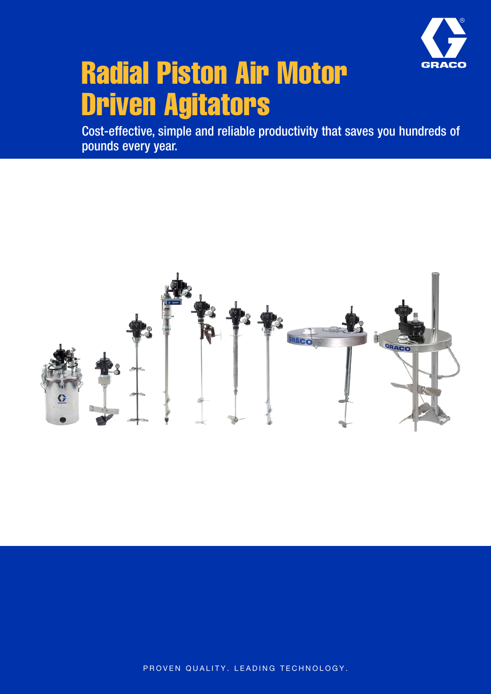

# Radial Piston Air Motor Driven Agitators

Cost-effective, simple and reliable productivity that saves you hundreds of pounds every year.



PROVEN QUALITY. LEADING TECHNOLOGY.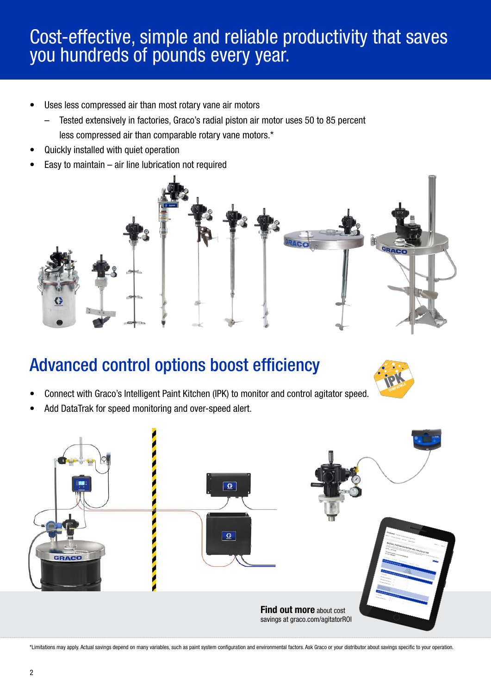### Cost-effective, simple and reliable productivity that saves you hundreds of pounds every year.

- Uses less compressed air than most rotary vane air motors
	- Tested extensively in factories, Graco's radial piston air motor uses 50 to 85 percent less compressed air than comparable rotary vane motors.\*
- Quickly installed with quiet operation
- Easy to maintain  $-$  air line lubrication not required



### Advanced control options boost efficiency



- Connect with Graco's Intelligent Paint Kitchen (IPK) to monitor and control agitator speed.
- Add DataTrak for speed monitoring and over-speed alert.



\*Limitations may apply. Actual savings depend on many variables, such as paint system configuration and environmental factors. Ask Graco or your distributor about savings specific to your operation.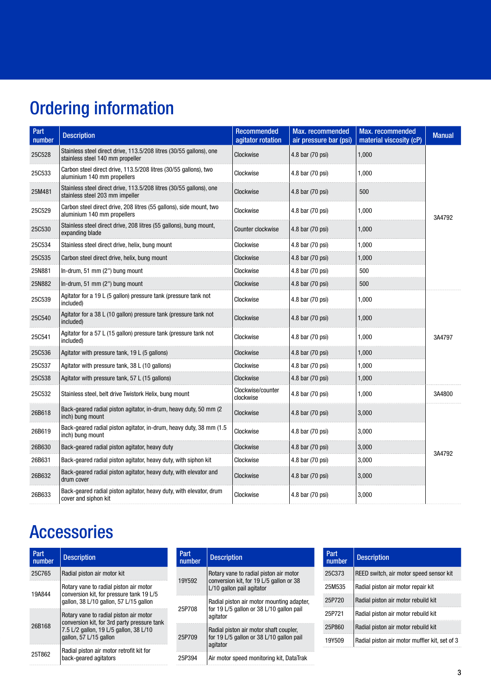# Ordering information

| Part<br>number | <b>Description</b>                                                                                      | <b>Recommended</b><br>agitator rotation | Max. recommended<br>air pressure bar (psi) | Max. recommended<br>material viscosity (cP) | <b>Manual</b> |  |
|----------------|---------------------------------------------------------------------------------------------------------|-----------------------------------------|--------------------------------------------|---------------------------------------------|---------------|--|
| 25C528         | Stainless steel direct drive, 113.5/208 litres (30/55 gallons), one<br>stainless steel 140 mm propeller | Clockwise                               | 4.8 bar (70 psi)                           | 1,000                                       |               |  |
| 25C533         | Carbon steel direct drive, 113.5/208 litres (30/55 gallons), two<br>aluminium 140 mm propellers         | Clockwise                               | 4.8 bar (70 psi)                           | 1,000                                       |               |  |
| 25M481         | Stainless steel direct drive, 113.5/208 litres (30/55 gallons), one<br>stainless steel 203 mm impeller  | Clockwise                               | 4.8 bar (70 psi)                           | 500                                         |               |  |
| 25C529         | Carbon steel direct drive, 208 litres (55 gallons), side mount, two<br>aluminium 140 mm propellers      | Clockwise                               | 4.8 bar (70 psi)                           | 1,000                                       | 3A4792        |  |
| 25C530         | Stainless steel direct drive, 208 litres (55 gallons), bung mount,<br>expanding blade                   | Counter clockwise                       | 4.8 bar (70 psi)                           | 1.000                                       |               |  |
| 25C534         | Stainless steel direct drive, helix, bung mount                                                         | Clockwise                               | 4.8 bar (70 psi)                           | 1,000                                       |               |  |
| 25C535         | Carbon steel direct drive, helix, bung mount                                                            | Clockwise                               | 4.8 bar (70 psi)                           | 1,000                                       |               |  |
| 25N881         | In-drum, $51 \text{ mm}$ (2") bung mount                                                                | Clockwise                               | 4.8 bar (70 psi)                           | 500                                         |               |  |
| 25N882         | In-drum, 51 mm (2") bung mount                                                                          | Clockwise                               | 4.8 bar (70 psi)                           | 500                                         |               |  |
| 25C539         | Agitator for a 19 L (5 gallon) pressure tank (pressure tank not<br>included)                            | Clockwise                               | 4.8 bar (70 psi)                           | 1,000                                       |               |  |
| 25C540         | Agitator for a 38 L (10 gallon) pressure tank (pressure tank not<br>included)                           | Clockwise                               | 4.8 bar (70 psi)                           | 1,000                                       |               |  |
| 25C541         | Agitator for a 57 L (15 gallon) pressure tank (pressure tank not<br>included)                           | Clockwise                               | 4.8 bar (70 psi)                           | 1,000                                       | 3A4797        |  |
| 25C536         | Agitator with pressure tank, 19 L (5 gallons)                                                           | Clockwise                               | 4.8 bar (70 psi)                           | 1,000                                       |               |  |
| 25C537         | Agitator with pressure tank, 38 L (10 gallons)                                                          | Clockwise                               | 4.8 bar (70 psi)                           | 1,000                                       |               |  |
| 25C538         | Agitator with pressure tank, 57 L (15 gallons)                                                          | Clockwise                               | 4.8 bar (70 psi)                           | 1,000                                       |               |  |
| 25C532         | Stainless steel, belt drive Twistork Helix, bung mount                                                  | Clockwise/counter<br>clockwise          | 4.8 bar (70 psi)                           | 1,000                                       | 3A4800        |  |
| 26B618         | Back-geared radial piston agitator, in-drum, heavy duty, 50 mm (2)<br>inch) bung mount                  | Clockwise                               | 4.8 bar (70 psi)                           | 3,000                                       |               |  |
| 26B619         | Back-geared radial piston agitator, in-drum, heavy duty, 38 mm (1.5)<br>inch) bung mount                | Clockwise                               | 4.8 bar (70 psi)                           | 3,000                                       |               |  |
| 26B630         | Back-geared radial piston agitator, heavy duty                                                          | Clockwise                               | 4.8 bar (70 psi)                           | 3,000                                       |               |  |
| 26B631         | Back-geared radial piston agitator, heavy duty, with siphon kit                                         | Clockwise                               | 4.8 bar (70 psi)                           | 3,000                                       | 3A4792        |  |
| 26B632         | Back-geared radial piston agitator, heavy duty, with elevator and<br>drum cover                         | Clockwise                               | 4.8 bar (70 psi)                           | 3,000                                       |               |  |
| 26B633         | Back-geared radial piston agitator, heavy duty, with elevator, drum<br>cover and siphon kit             | Clockwise                               | 4.8 bar (70 psi)                           | 3,000                                       |               |  |

## Accessories

| Part<br>number | <b>Description</b>                                                                                                                                                                                                             | Part<br>number | <b>Description</b>                                                                               | Part<br>number | <b>Description</b>                            |  |
|----------------|--------------------------------------------------------------------------------------------------------------------------------------------------------------------------------------------------------------------------------|----------------|--------------------------------------------------------------------------------------------------|----------------|-----------------------------------------------|--|
| 25C765         | Radial piston air motor kit                                                                                                                                                                                                    |                | Rotary vane to radial piston air motor                                                           | 25C373         | REED switch, air motor speed sensor kit       |  |
| 19A844         | Rotary vane to radial piston air motor<br>conversion kit, for pressure tank 19 L/5<br>gallon, 38 L/10 gallon, 57 L/15 gallon                                                                                                   | 19Y592         | conversion kit. for 19 L/5 gallon or 38<br>L/10 gallon pail agitator                             | 25M535         | Radial piston air motor repair kit            |  |
|                |                                                                                                                                                                                                                                | 25P708         | Radial piston air motor mounting adapter,                                                        | 25P720         | Radial piston air motor rebuild kit           |  |
| 26B168         | Rotary vane to radial piston air motor<br>conversion kit, for 3rd party pressure tank<br>7.5 L/2 gallon, 19 L/5 gallon, 38 L/10<br>gallon, 57 L/15 gallon<br>Radial piston air motor retrofit kit for<br>back-geared agitators |                | for 19 L/5 gallon or 38 L/10 gallon pail<br>aqitator                                             | 25P721         | Radial piston air motor rebuild kit           |  |
|                |                                                                                                                                                                                                                                | 25P709         | Radial piston air motor shaft coupler,<br>for 19 L/5 gallon or 38 L/10 gallon pail<br>  agitator | 25P860         | Radial piston air motor rebuild kit           |  |
|                |                                                                                                                                                                                                                                |                |                                                                                                  | 19Y509         | Radial piston air motor muffler kit, set of 3 |  |
| 25T862         |                                                                                                                                                                                                                                | 25P394         | Air motor speed monitoring kit, DataTrak                                                         |                |                                               |  |